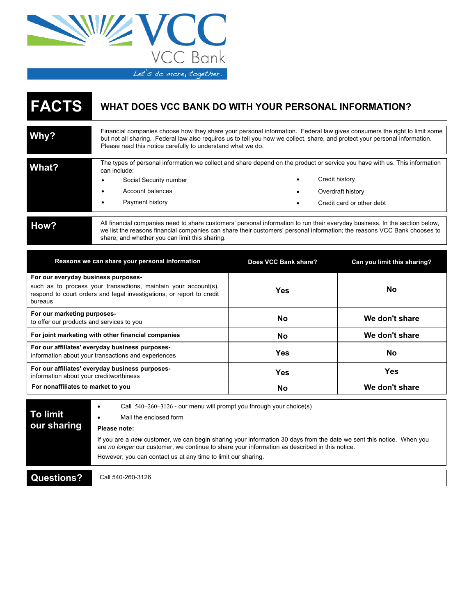

## **FACTS WHAT DOES VCC BANK DO WITH YOUR PERSONAL INFORMATION?**

| Why?  | Financial companies choose how they share your personal information. Federal law gives consumers the right to limit some<br>but not all sharing. Federal law also requires us to tell you how we collect, share, and protect your personal information.<br>Please read this notice carefully to understand what we do. |  |                                                                  |
|-------|------------------------------------------------------------------------------------------------------------------------------------------------------------------------------------------------------------------------------------------------------------------------------------------------------------------------|--|------------------------------------------------------------------|
| What? | The types of personal information we collect and share depend on the product or service you have with us. This information<br>can include:<br>Social Security number<br>٠<br>Account balances<br>Payment history                                                                                                       |  | Credit history<br>Overdraft history<br>Credit card or other debt |
| How?  | All financial companies need to share customers' personal information to run their everyday business. In the section below,<br>we list the reasons financial companies can share their customers' personal information; the reasons VCC Bank chooses to<br>share; and whether you can limit this sharing.              |  |                                                                  |

| Reasons we can share your personal information                                                                                                                                  | Does VCC Bank share? | Can you limit this sharing? |
|---------------------------------------------------------------------------------------------------------------------------------------------------------------------------------|----------------------|-----------------------------|
| For our everyday business purposes-<br>such as to process your transactions, maintain your account(s),<br>respond to court orders and legal investigations, or report to credit | Yes                  | Nο                          |
| bureaus                                                                                                                                                                         |                      |                             |
| For our marketing purposes-<br>to offer our products and services to you                                                                                                        | <b>No</b>            | We don't share              |
| For joint marketing with other financial companies                                                                                                                              | No                   | We don't share              |
| For our affiliates' everyday business purposes-<br>information about your transactions and experiences                                                                          | Yes                  | No                          |
| For our affiliates' everyday business purposes-<br>information about your creditworthiness                                                                                      | Yes                  | Yes                         |
| For nonaffiliates to market to you                                                                                                                                              | No                   | We don't share              |

| To limit<br>our sharing | Call $540-260-3126$ - our menu will prompt you through your choice(s)<br>Mail the enclosed form<br>Please note:                                                                                                                                                                         |
|-------------------------|-----------------------------------------------------------------------------------------------------------------------------------------------------------------------------------------------------------------------------------------------------------------------------------------|
|                         | If you are a new customer, we can begin sharing your information 30 days from the date we sent this notice. When you<br>are no longer our customer, we continue to share your information as described in this notice.<br>However, you can contact us at any time to limit our sharing. |
| Questions?              | Call 540-260-3126                                                                                                                                                                                                                                                                       |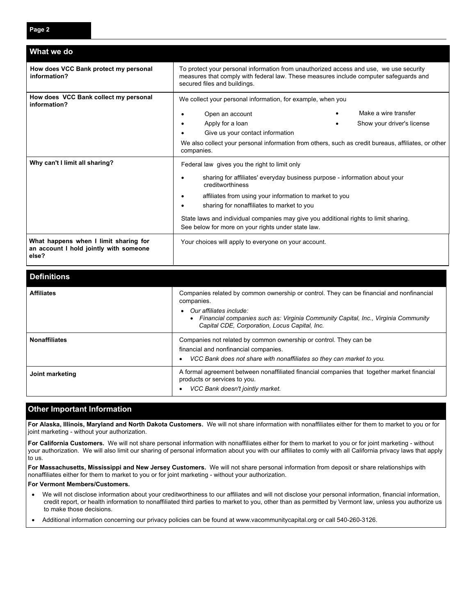| What we do                                                                               |                                                                                                                                                                                                                 |  |                            |
|------------------------------------------------------------------------------------------|-----------------------------------------------------------------------------------------------------------------------------------------------------------------------------------------------------------------|--|----------------------------|
| How does VCC Bank protect my personal<br>information?                                    | To protect your personal information from unauthorized access and use, we use security<br>measures that comply with federal law. These measures include computer safeguards and<br>secured files and buildings. |  |                            |
| How does VCC Bank collect my personal<br>information?                                    | We collect your personal information, for example, when you                                                                                                                                                     |  |                            |
|                                                                                          | Open an account                                                                                                                                                                                                 |  | Make a wire transfer       |
|                                                                                          | Apply for a loan                                                                                                                                                                                                |  | Show your driver's license |
|                                                                                          | Give us your contact information                                                                                                                                                                                |  |                            |
|                                                                                          | We also collect your personal information from others, such as credit bureaus, affiliates, or other<br>companies.                                                                                               |  |                            |
| Why can't I limit all sharing?                                                           | Federal law gives you the right to limit only                                                                                                                                                                   |  |                            |
|                                                                                          | sharing for affiliates' everyday business purpose - information about your<br>creditworthiness                                                                                                                  |  |                            |
|                                                                                          | affiliates from using your information to market to you<br>sharing for nonaffiliates to market to you                                                                                                           |  |                            |
|                                                                                          | State laws and individual companies may give you additional rights to limit sharing.<br>See below for more on your rights under state law.                                                                      |  |                            |
| What happens when I limit sharing for<br>an account I hold jointly with someone<br>else? | Your choices will apply to everyone on your account.                                                                                                                                                            |  |                            |

| <b>Definitions</b>   |                                                                                                                                                                                                  |
|----------------------|--------------------------------------------------------------------------------------------------------------------------------------------------------------------------------------------------|
| <b>Affiliates</b>    | Companies related by common ownership or control. They can be financial and nonfinancial<br>companies.                                                                                           |
|                      | Our affiliates include:<br>Financial companies such as: Virginia Community Capital, Inc., Virginia Community<br>Capital CDE, Corporation, Locus Capital, Inc.                                    |
| <b>Nonaffiliates</b> | Companies not related by common ownership or control. They can be<br>financial and nonfinancial companies.<br>VCC Bank does not share with nonaffiliates so they can market to you.<br>$\bullet$ |
| Joint marketing      | A formal agreement between nonaffiliated financial companies that together market financial<br>products or services to you.<br>VCC Bank doesn't jointly market.                                  |

## **Other Important Information**

**For Alaska, Illinois, Maryland and North Dakota Customers.** We will not share information with nonaffiliates either for them to market to you or for joint marketing - without your authorization.

**For California Customers.** We will not share personal information with nonaffiliates either for them to market to you or for joint marketing - without your authorization. We will also limit our sharing of personal information about you with our affiliates to comly with all California privacy laws that apply to us.

**For Massachusetts, Mississippi and New Jersey Customers.** We will not share personal information from deposit or share relationships with nonaffiliates either for them to market to you or for joint marketing - without your authorization.

## **For Vermont Members/Customers.**

- We will not disclose information about your creditworthiness to our affiliates and will not disclose your personal information, financial information, credit report, or health information to nonaffiliated third parties to market to you, other than as permitted by Vermont law, unless you authorize us to make those decisions.
- Additional information concerning our privacy policies can be found at www.vacommunitycapital.org or call 540-260-3126.